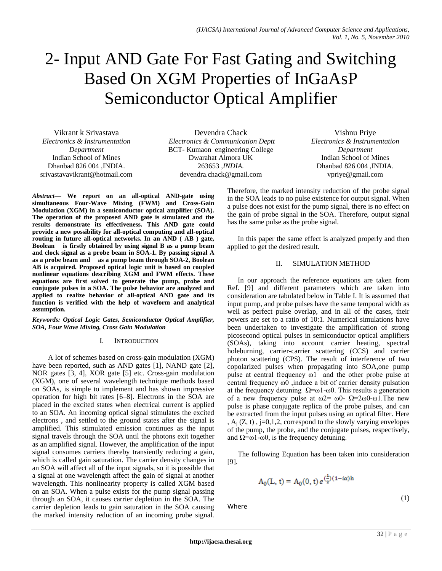# 2- Input AND Gate For Fast Gating and Switching Based On XGM Properties of InGaAsP Semiconductor Optical Amplifier

Vikrant k Srivastava *Electronics & Instrumentation Department* Indian School of Mines Dhanbad 826 004 ,INDIA. srivastavavikrant@hotmail.com

Devendra Chack *Electronics & Communication Deptt*  BCT*-* Kumaon engineering College Dwarahat Almora UK 263653 *,INDIA.* devendra.chack@gmail.com

*Abstract***— We report on an all-optical AND-gate using simultaneous Four-Wave Mixing (FWM) and Cross-Gain Modulation (XGM) in a semiconductor optical amplifier (SOA). The operation of the proposed AND gate is simulated and the results demonstrate its effectiveness. This AND gate could provide a new possibility for all-optical computing and all-optical routing in future all-optical networks. In an AND ( AB ) gate, Boolean is firstly obtained by using signal B as a pump beam and clock signal as a probe beam in SOA-1. By passing signal A as a probe beam and as a pump beam through SOA-2, Boolean AB is acquired. Proposed optical logic unit is based on coupled nonlinear equations describing XGM and FWM effects. These equations are first solved to generate the pump, probe and conjugate pulses in a SOA. The pulse behavior are analyzed and applied to realize behavior of all-optical AND gate and its function is verified with the help of waveform and analytical assumption.**

#### *Keywords: Optical Logic Gates, Semiconductor Optical Amplifier, SOA, Four Wave Mixing, Cross Gain Modulation*

# I. INTRODUCTION

 A lot of schemes based on cross-gain modulation (XGM) have been reported, such as AND gates [1], NAND gate [2], NOR gates [3, 4], XOR gate [5] etc. Cross-gain modulation (XGM), one of several wavelength technique methods based on SOAs, is simple to implement and has shown impressive operation for high bit rates [6–8]. Electrons in the SOA are placed in the excited states when electrical current is applied to an SOA. An incoming optical signal stimulates the excited electrons , and settled to the ground states after the signal is amplified. This stimulated emission continues as the input signal travels through the SOA until the photons exit together as an amplified signal. However, the amplification of the input signal consumes carriers thereby transiently reducing a gain, which is called gain saturation. The carrier density changes in an SOA will affect all of the input signals, so it is possible that a signal at one wavelength affect the gain of signal at another wavelength. This nonlinearity property is called XGM based on an SOA. When a pulse exists for the pump signal passing through an SOA, it causes carrier depletion in the SOA. The carrier depletion leads to gain saturation in the SOA causing the marked intensity reduction of an incoming probe signal.

Vishnu Priye *Electronics & Instrumentation Department* Indian School of Mines Dhanbad 826 004 ,INDIA. vpriye@gmail.com

Therefore, the marked intensity reduction of the probe signal in the SOA leads to no pulse existence for output signal. When a pulse does not exist for the pump signal, there is no effect on the gain of probe signal in the SOA. Therefore, output signal has the same pulse as the probe signal.

In this paper the same effect is analyzed properly and then applied to get the desired result.

# II. SIMULATION METHOD

In our approach the reference equations are taken from Ref. [9] and different parameters which are taken into consideration are tabulated below in Table I. It is assumed that input pump, and probe pulses have the same temporal width as well as perfect pulse overlap, and in all of the cases, their powers are set to a ratio of 10:1. Numerical simulations have been undertaken to investigate the amplification of strong picosecond optical pulses in semiconductor optical amplifiers (SOAs), taking into account carrier heating, spectral holeburning, carrier-carrier scattering (CCS) and carrier photon scattering (CPS). The result of interference of two copolarized pulses when propagating into SOA,one pump pulse at central frequency ω1 and the other probe pulse at central frequency ω0 ,induce a bit of carrier density pulsation at the frequency detuning  $\Omega = \omega_1 - \omega_0$ . This results a generation of a new frequency pulse at  $\omega$ 2=  $\omega$ 0-  $\Omega$ =2 $\omega$ 0- $\omega$ 1. The new pulse is phase conjugate replica of the probe pulses, and can be extracted from the input pulses using an optical filter. Here ,  $A_i$  (Z, t),  $j=0,1,2$ , correspond to the slowly varying envelopes of the pump, the probe, and the conjugate pulses, respectively, and  $Ω = ω1-ω0$ , is the frequency detuning.

The following Equation has been taken into consideration [9].

$$
A_0(L, t) = A_0(0, t) e^{(\frac{t}{2})(1 - i\alpha)h}
$$
\n(1)

Where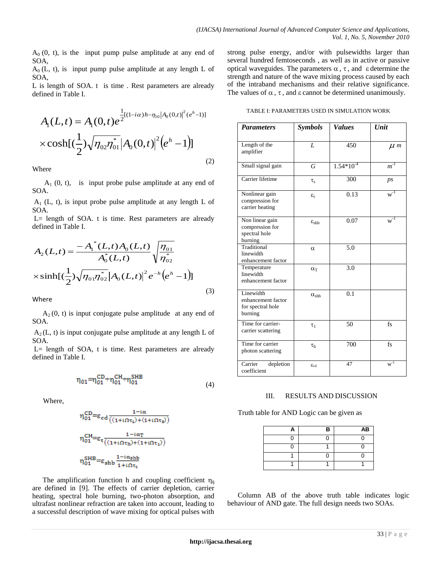$A_0$  (0, t), is the input pump pulse amplitude at any end of SOA,

 $A_0$  (L, t), is input pump pulse amplitude at any length L of SOA,

L is length of SOA. t is time . Rest parameters are already defined in Table I.

$$
A_1(L,t) = A_1(0,t)e^{-\frac{1}{2}[(1-i\alpha)h-\eta_{10}|A_0(0,t)]^2(e^h-1)]}
$$
  
× cosh[( $\frac{1}{2}$ ) $\sqrt{\eta_{02}\eta_{01}}|A_0(0,t)|^2(e^h-1)]$  (2)

Where

 $A_1$  (0, t), is input probe pulse amplitude at any end of SOA.

 $A_1$  (L, t), is input probe pulse amplitude at any length L of SOA.

 $L =$  length of SOA. t is time. Rest parameters are already defined in Table I.

$$
A_{2}(L,t) = \frac{-A_{1}^{*}(L,t)A_{0}(L,t)}{A_{0}^{*}(L,t)}\sqrt{\frac{\eta_{01}}{\eta_{02}^{*}}}
$$

$$
\times \sinh[(\frac{1}{2})\sqrt{\eta_{01}\eta_{02}^{*}}|A_{0}(L,t)|^{2}e^{-h}(e^{h}-1)]
$$
(3)

Where

 $A_2(0, t)$  is input conjugate pulse amplitude at any end of SOA.

 $A_2(L, t)$  is input conjugate pulse amplitude at any length L of SOA.

L= length of SOA, t is time. Rest parameters are already defined in Table I.

$$
\eta_{01} = \eta_{01}^{CD} + \eta_{01}^{CH} + \eta_{01}^{SHB} \tag{4}
$$

Where,

$$
\begin{aligned} &\eta_{01}^{CD}{=} \epsilon_{cd}\frac{1{-}i\alpha}{\left((1{+}i\Omega\tau_1){+}(1{+}i\Omega\tau_3)\right)}\\ &\eta_{01}^{CH}{=} \epsilon_t\frac{1{-}i\alpha_T}{\left((1{+}i\Omega\tau_1){+}(1{+}i\Omega\tau_1)\right)}\\ &\eta_{01}^{SHB}{=} \epsilon_{shb}\frac{1{-}i\alpha_{shb}}{1{+}i\Omega\tau_1} \end{aligned}
$$

The amplification function h and coupling coefficient  $\eta_{ii}$ are defined in [9]. The effects of carrier depletion, carrier heating, spectral hole burning, two-photon absorption, and ultrafast nonlinear refraction are taken into account, leading to a successful description of wave mixing for optical pulses with strong pulse energy, and/or with pulsewidths larger than several hundred femtoseconds , as well as in active or passive optical waveguides. The parameters  $\alpha$ ,  $\tau$ , and  $\epsilon$  determine the strength and nature of the wave mixing process caused by each of the intraband mechanisms and their relative significance. The values of  $\alpha$ ,  $\tau$ , and  $\varepsilon$  cannot be determined unanimously.

TABLE I: PARAMETERS USED IN SIMULATION WORK

| <b>Parameters</b>                                               | <b>Symbols</b>          | <b>Values</b>  | Unit           |
|-----------------------------------------------------------------|-------------------------|----------------|----------------|
| Length of the<br>amplifier                                      | L                       | 450            | $\mu$ m        |
| Small signal gain                                               | G                       | $1.54*10^{-4}$ | $m^{-1}$       |
| Carrier lifetime                                                | $\tau_{\rm s}$          | 300            | p <sub>S</sub> |
| Nonlinear gain<br>compression for<br>carrier heating            | $\varepsilon_{\rm t}$   | 0.13           | $w^{-1}$       |
| Non linear gain<br>compression for<br>spectral hole<br>burning  | $\varepsilon_{\rm shh}$ | 0.07           | $w^{-1}$       |
| Traditional<br>linewidth<br>enhancement factor                  | $\alpha$                | 5.0            |                |
| Temperature<br>linewidth<br>enhancement factor                  | $\alpha$ <sub>T</sub>   | 3.0            |                |
| Linewidth<br>enhancement factor<br>for spectral hole<br>burning | $\alpha_{\rm shb}$      | 0.1            |                |
| Time for carrier-<br>carrier scattering                         | $\tau_1$                | 50             | fs             |
| Time for carrier<br>photon scattering                           | $\tau_{\rm h}$          | 700            | fs             |
| Carrier<br>depletion<br>coefficient                             | $\varepsilon_{cd}$      | 47             | $w^{-1}$       |

# III. RESULTS AND DISCUSSION

Truth table for AND Logic can be given as

| Α | В | AB |
|---|---|----|
| 0 | U | ሰ  |
| n |   | ∩  |
|   | U | ሰ  |
|   |   |    |

Column AB of the above truth table indicates logic behaviour of AND gate. The full design needs two SOAs.